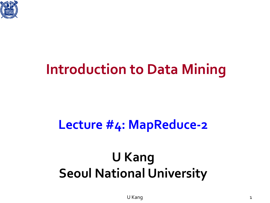

### **Introduction to Data Mining**

#### **Lecture #4: MapReduce-2**

### **U Kang Seoul National University**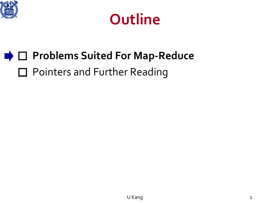



### **PROBLEMS Suited For Map-Reduce** □ Pointers and Further Reading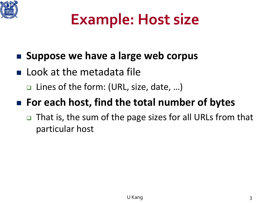

## **Example: Host size**

#### **Suppose we have a large web corpus**

- **Look at the metadata file** 
	- □ Lines of the form: (URL, size, date, ...)

#### **For each host, find the total number of bytes**

□ That is, the sum of the page sizes for all URLs from that particular host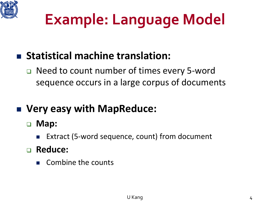

## **Example: Language Model**

#### **Statistical machine translation:**

 Need to count number of times every 5-word sequence occurs in a large corpus of documents

#### **Very easy with MapReduce:**

#### **Map:**

Extract (5-word sequence, count) from document

#### **Reduce:**

Combine the counts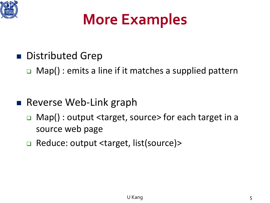

### **More Examples**

■ Distributed Grep

 $\Box$  Map(): emits a line if it matches a supplied pattern

- Reverse Web-Link graph
	- □ Map() : output <target, source> for each target in a source web page
	- □ Reduce: output <target, list(source)>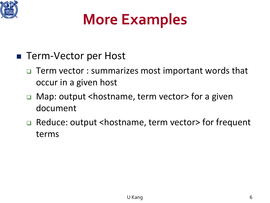

## **More Examples**

- Term-Vector per Host
	- Term vector : summarizes most important words that occur in a given host
	- □ Map: output <hostname, term vector> for a given document
	- □ Reduce: output <hostname, term vector> for frequent terms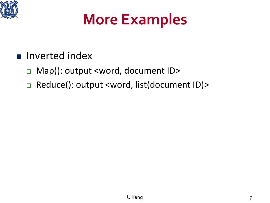

### **More Examples**

#### **n** Inverted index

- □ Map(): output <word, document ID>
- □ Reduce(): output <word, list(document ID)>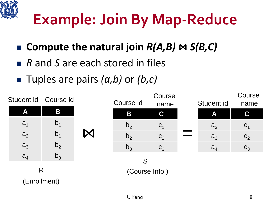

## **Example: Join By Map-Reduce**

- Compute the natural join *R(A,B)*  $\bowtie$  *S(B,C)*
- *R* and *S* are each stored in files
- Tuples are pairs *(a,b)* or *(b,c)*

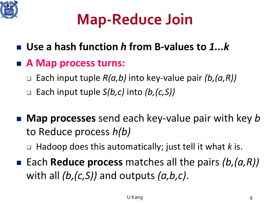

## **Map-Reduce Join**

- **Use a hash function** *h* **from B-values to** *1...k*
- **A Map process turns:**
	- Each input tuple *R(a,b)* into key-value pair *(b,(a,R))*
	- Each input tuple *S(b,c)* into *(b,(c,S))*
- **Map processes** send each key-value pair with key *b* to Reduce process *h(b)*
	- □ Hadoop does this automatically; just tell it what *k* is.
- Each **Reduce process** matches all the pairs *(b, (a, R))* with all *(b,(c,S))* and outputs *(a,b,c)*.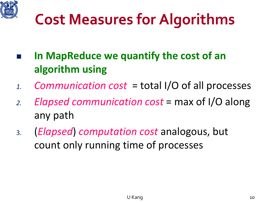

## **Cost Measures for Algorithms**

- **In MapReduce we quantify the cost of an algorithm using**
- *1. Communication cost* = total I/O of all processes
- *2. Elapsed communication cost* = max of I/O along any path
- 3. (*Elapsed*) *computation cost* analogous, but count only running time of processes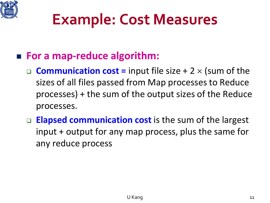

### **Example: Cost Measures**

#### **For a map-reduce algorithm:**

- **Communication cost =** input file size + 2 × (sum of the sizes of all files passed from Map processes to Reduce processes) + the sum of the output sizes of the Reduce processes.
- □ **Elapsed communication cost** is the sum of the largest input + output for any map process, plus the same for any reduce process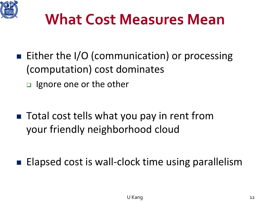

### **What Cost Measures Mean**

- Either the I/O (communication) or processing (computation) cost dominates
	- □ Ignore one or the other
- Total cost tells what you pay in rent from your friendly neighborhood cloud

■ Elapsed cost is wall-clock time using parallelism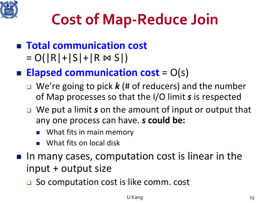

## **Cost of Map-Reduce Join**

- **Total communication cost**  $= O(|R| + |S| + |R \bowtie S|)$
- **Elapsed communication cost** =  $O(s)$ 
	- We're going to pick *k* (# of reducers) and the number of Map processes so that the I/O limit *s* is respected
	- We put a limit *s* on the amount of input or output that any one process can have. *s* **could be:**
		- What fits in main memory
		- What fits on local disk
- In many cases, computation cost is linear in the input + output size
	- **□** So computation cost is like comm. cost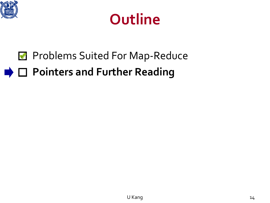



#### **Problems Suited For Map-Reduce Pointers and Further Reading**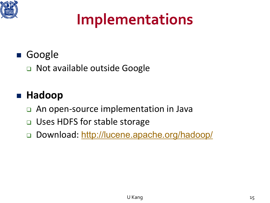

## **Implementations**

#### Google

□ Not available outside Google

#### **Hadoop**

- □ An open-source implementation in Java
- □ Uses HDFS for stable storage
- Download: <http://lucene.apache.org/hadoop/>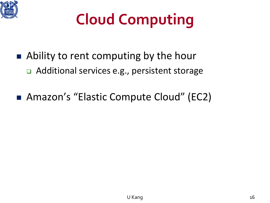

# **Cloud Computing**

- Ability to rent computing by the hour Additional services e.g., persistent storage
- Amazon's "Elastic Compute Cloud" (EC2)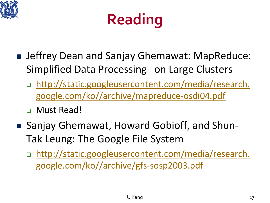



- Jeffrey Dean and Sanjay Ghemawat: MapReduce: Simplified Data Processing on Large Clusters
	- □ [http://static.googleusercontent.com/media/research.](http://static.googleusercontent.com/media/research.google.com/ko/archive/mapreduce-osdi04.pdf) google.com/ko//archive/mapreduce-osdi04.pdf
	- Must Read!
- Sanjay Ghemawat, Howard Gobioff, and Shun-Tak Leung: The Google File System
	- [http://static.googleusercontent.com/media/research.](http://static.googleusercontent.com/media/research.google.com/ko/archive/gfs-sosp2003.pdf) google.com/ko//archive/gfs-sosp2003.pdf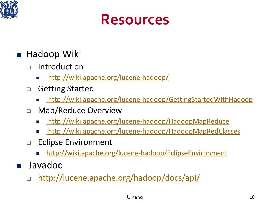



#### Hadoop Wiki

- ntroduction
	- <http://wiki.apache.org/lucene-hadoop/>
- **D** Getting Started
	- <http://wiki.apache.org/lucene-hadoop/GettingStartedWithHadoop>
- **D** Map/Reduce Overview
	- <http://wiki.apache.org/lucene-hadoop/HadoopMapReduce>
	- <http://wiki.apache.org/lucene-hadoop/HadoopMapRedClasses>
- **Eclipse Environment** 
	- <http://wiki.apache.org/lucene-hadoop/EclipseEnvironment>
- Javadoc
	- <http://lucene.apache.org/hadoop/docs/api/>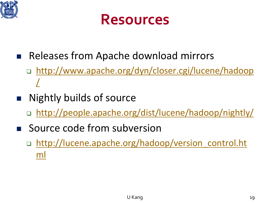



- Releases from Apache download mirrors
	- [http://www.apache.org/dyn/closer.cgi/lucene/hadoop](http://www.apache.org/dyn/closer.cgi/lucene/hadoop/) /
- Nightly builds of source
	- □ <http://people.apache.org/dist/lucene/hadoop/nightly/>
- Source code from subversion
	- □ [http://lucene.apache.org/hadoop/version\\_control.ht](http://lucene.apache.org/hadoop/version_control.html) ml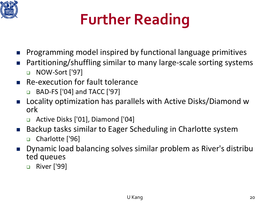

# **Further Reading**

- **Programming model inspired by functional language primitives**
- Partitioning/shuffling similar to many large-scale sorting systems □ NOW-Sort ['97]
- **Re-execution for fault tolerance** 
	- □ BAD-FS ['04] and TACC ['97]
- Locality optimization has parallels with Active Disks/Diamond w ork
	- Active Disks ['01], Diamond ['04]
- Backup tasks similar to Eager Scheduling in Charlotte system
	- □ Charlotte ['96]
- **Dynamic load balancing solves similar problem as River's distribulation** ted queues
	- □ River ['99]